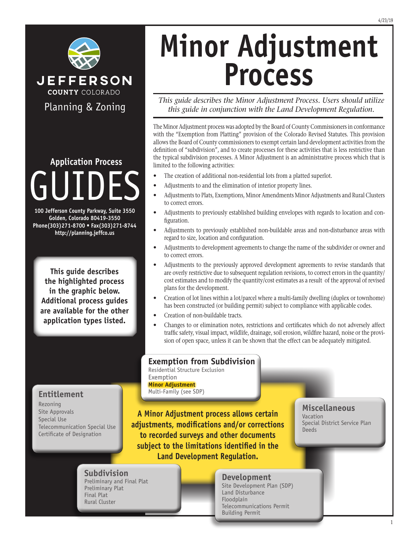

GUIDES **Application Process**

**100 Jefferson County Parkway, Suite 3550 Golden, Colorado 80419-3550 Phone(303)271-8700 • Fax(303)271-8744 http://planning.jeffco.us**

**This guide describes the highlighted process in the graphic below. Additional process guides are available for the other application types listed.**

**Entitlement**

Telecommunication Special Use Certificate of Designation

Rezoning Site Approvals Special Use

# **Minor Adjustment Process**

*This guide describes the Minor Adjustment Process. Users should utilize this guide in conjunction with the Land Development Regulation.*

The Minor Adjustment process was adopted by the Board of County Commissioners in conformance with the "Exemption from Platting" provision of the Colorado Revised Statutes. This provision allows the Board of County commissioners to exempt certain land development activities from the definition of "subdivision", and to create processes for these activities that is less restrictive than the typical subdivision processes. A Minor Adjustment is an administrative process which that is limited to the following activities:

- The creation of additional non-residential lots from a platted superlot.
- Adjustments to and the elimination of interior property lines.
- Adjustments to Plats, Exemptions, Minor Amendments Minor Adjustments and Rural Clusters to correct errors.
- Adjustments to previously established building envelopes with regards to location and configuration.
- Adjustments to previously established non-buildable areas and non-disturbance areas with regard to size, location and configuration.
- Adjustments to development agreements to change the name of the subdivider or owner and to correct errors.
- Adjustments to the previously approved development agreements to revise standards that are overly restrictive due to subsequent regulation revisions, to correct errors in the quantity/ cost estimates and to modify the quantity/cost estimates as a result of the approval of revised plans for the development.
- Creation of lot lines within a lot/parcel where a multi-family dwelling (duplex or townhome) has been constructed (or building permit) subject to compliance with applicable codes.
- Creation of non-buildable tracts.
- Changes to or elimination notes, restrictions and certificates which do not adversely affect traffic safety, visual impact, wildlife, drainage, soil erosion, wildfire hazard, noise or the provision of open space, unless it can be shown that the effect can be adequately mitigated.

**Exemption from Subdivision**

Residential Structure Exclusion Exemption **Minor Adjustment** Multi-Family (see SDP)

**A Minor Adjustment process allows certain adjustments, modifications and/or corrections to recorded surveys and other documents subject to the limitations identified in the Land Development Regulation.**

#### **Miscellaneous**

Vacation Special District Service Plan Deeds

#### **Subdivision** Preliminary and Final Plat Preliminary Plat Final Plat

Rural Cluster

#### **Development**

Site Development Plan (SDP) Land Disturbance Floodplain Telecommunications Permit Building Permit

#### 4/23/19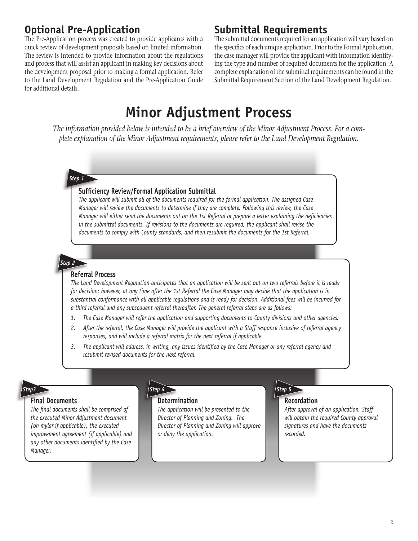## **Optional Pre-Application**

The Pre-Application process was created to provide applicants with a quick review of development proposals based on limited information. The review is intended to provide information about the regulations and process that will assist an applicant in making key decisions about the development proposal prior to making a formal application. Refer to the Land Development Regulation and the Pre-Application Guide for additional details.

### **Submittal Requirements**

The submittal documents required for an application will vary based on the specifics of each unique application. Prior to the Formal Application, the case manager will provide the applicant with information identifying the type and number of required documents for the application. A complete explanation of the submittal requirements can be found in the Submittal Requirement Section of the Land Development Regulation.

## **Minor Adjustment Process**

*The information provided below is intended to be a brief overview of the Minor Adjustment Process. For a complete explanation of the Minor Adjustment requirements, please refer to the Land Development Regulation.*

#### *Step 1*

#### **Sufficiency Review/Formal Application Submittal**

*The applicant will submit all of the documents required for the formal application. The assigned Case Manager will review the documents to determine if they are complete. Following this review, the Case Manager will either send the documents out on the 1st Referral or prepare a letter explaining the deficiencies in the submittal documents. If revisions to the documents are required, the applicant shall revise the documents to comply with County standards, and then resubmit the documents for the 1st Referral.*

#### *Step 2* **Referral Process**

*The Land Development Regulation anticipates that an application will be sent out on two referrals before it is ready for decision; however, at any time after the 1st Referral the Case Manager may decide that the application is in substantial conformance with all applicable regulations and is ready for decision. Additional fees will be incurred for a third referral and any subsequent referral thereafter. The general referral steps are as follows:*

- *1. The Case Manager will refer the application and supporting documents to County divisions and other agencies.*
- *2. After the referral, the Case Manager will provide the applicant with a Staff response inclusive of referral agency responses, and will include a referral matrix for the next referral if applicable.*
- *3. The applicant will address, in writing, any issues identified by the Case Manager or any referral agency and resubmit revised documents for the next referral.*

#### **Final Documents**

*The final documents shall be comprised of the executed Minor Adjustment document (on mylar if applicable), the executed improvement agreement (if applicable) and any other documents identified by the Case Manager.*



#### **Determination**

*The application will be presented to the Director of Planning and Zoning. The Director of Planning and Zoning will approve or deny the application.* 

**Recordation**

*After approval of an application, Staff will obtain the required County approval signatures and have the documents recorded.*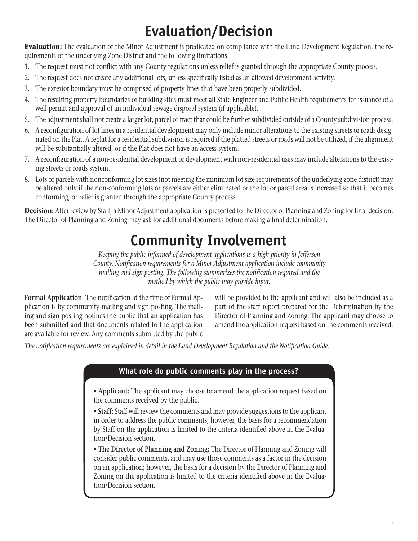# **Evaluation/Decision**

**Evaluation:** The evaluation of the Minor Adjustment is predicated on compliance with the Land Development Regulation, the requirements of the underlying Zone District and the following limitations:

- 1. The request must not conflict with any County regulations unless relief is granted through the appropriate County process.
- 2. The request does not create any additional lots, unless specifically listed as an allowed development activity.
- 3. The exterior boundary must be comprised of property lines that have been properly subdivided.
- 4. The resulting property boundaries or building sites must meet all State Engineer and Public Health requirements for issuance of a well permit and approval of an individual sewage disposal system (if applicable).
- 5. The adjustment shall not create a larger lot, parcel or tract that could be further subdivided outside of a County subdivision process.
- 6. A reconfiguration of lot lines in a residential development may only include minor alterations to the existing streets or roads designated on the Plat. A replat for a residential subdivision is required if the platted streets or roads will not be utilized, if the alignment will be substantially altered, or if the Plat does not have an access system.
- 7. A reconfiguration of a non-residential development or development with non-residential uses may include alterations to the existing streets or roads system.
- 8. Lots or parcels with nonconforming lot sizes (not meeting the minimum lot size requirements of the underlying zone district) may be altered only if the non-conforming lots or parcels are either eliminated or the lot or parcel area is increased so that it becomes conforming, or relief is granted through the appropriate County process.

**Decision:** After review by Staff, a Minor Adjustment application is presented to the Director of Planning and Zoning for final decision. The Director of Planning and Zoning may ask for additional documents before making a final determination.

## **Community Involvement**

*Keeping the public informed of development applications is a high priority in Jefferson County. Notification requirements for a Minor Adjustment application include community mailing and sign posting. The following summarizes the notification required and the method by which the public may provide input:*

**Formal Application**: The notification at the time of Formal Application is by community mailing and sign posting. The mailing and sign posting notifies the public that an application has been submitted and that documents related to the application are available for review. Any comments submitted by the public will be provided to the applicant and will also be included as a part of the staff report prepared for the Determination by the Director of Planning and Zoning. The applicant may choose to amend the application request based on the comments received.

*The notification requirements are explained in detail in the Land Development Regulation and the Notification Guide.*

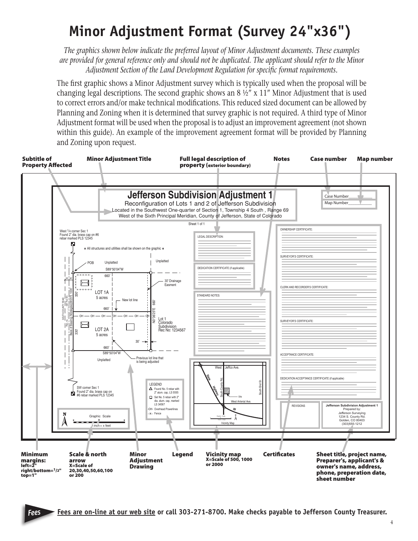# **Minor Adjustment Format (Survey 24"x36")**

*The graphics shown below indicate the preferred layout of Minor Adjustment documents. These examples are provided for general reference only and should not be duplicated. The applicant should refer to the Minor Adjustment Section of the Land Development Regulation for specific format requirements.*

The first graphic shows a Minor Adjustment survey which is typically used when the proposal will be changing legal descriptions. The second graphic shows an  $8\frac{1}{2}$  x 11" Minor Adjustment that is used to correct errors and/or make technical modifications. This reduced sized document can be allowed by Planning and Zoning when it is determined that survey graphic is not required. A third type of Minor Adjustment format will be used when the proposal is to adjust an improvement agreement (not shown within this guide). An example of the improvement agreement format will be provided by Planning and Zoning upon request.